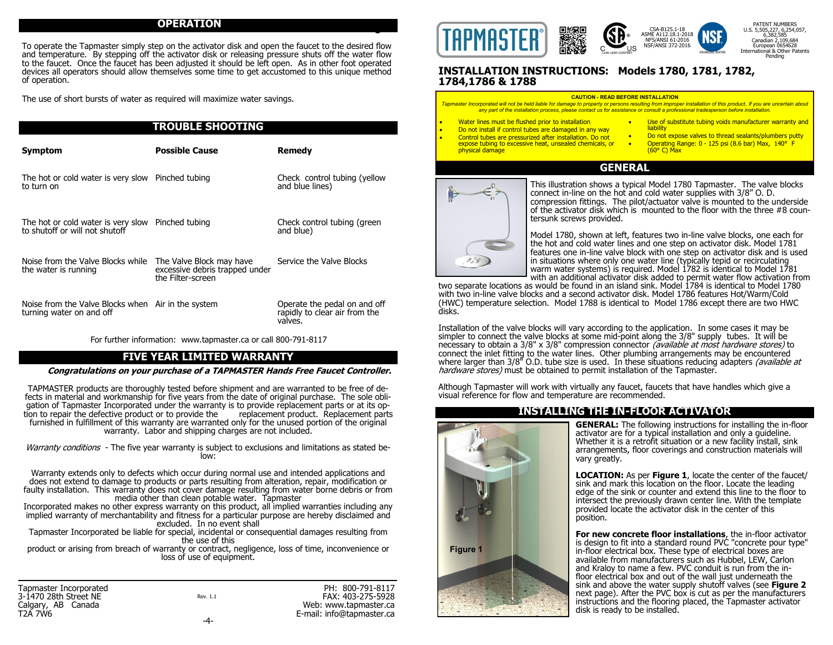# **OPERATION**

To operate the Tapmaster simply step on the activator disk and open the faucet to the desired flow and temperature. By stepping off the activator disk or releasing pressure shuts off the water flow to the faucet. Once the faucet has been adjusted it should be left open. As in other foot operated devices all operators should allow themselves some time to get accustomed to this unique method of operation.

The use of short bursts of water as required will maximize water savings.

# **TROUBLE SHOOTING**

| <b>Symptom</b>                                                                      | <b>Possible Cause</b>                                                           | <b>Remedy</b>                                                 |
|-------------------------------------------------------------------------------------|---------------------------------------------------------------------------------|---------------------------------------------------------------|
| The hot or cold water is very slow Pinched tubing<br>to turn on                     |                                                                                 | Check control tubing (yellow<br>and blue lines)               |
| The hot or cold water is very slow Pinched tubing<br>to shutoff or will not shutoff |                                                                                 | Check control tubing (green<br>and blue)                      |
| Noise from the Valve Blocks while<br>the water is running                           | The Valve Block may have<br>excessive debris trapped under<br>the Filter-screen | Service the Valve Blocks                                      |
| Noise from the Valve Blocks when Air in the system<br>turning water on and off      |                                                                                 | Operate the pedal on and off<br>rapidly to clear air from the |

For further information: www.tapmaster.ca or call 800-791-8117

# **FIVE YEAR LIMITED WARRANTY**

**Congratulations on your purchase of a TAPMASTER Hands Free Faucet Controller.**

valves.

TAPMASTER products are thoroughly tested before shipment and are warranted to be free of defects in material and workmanship for five years from the date of original purchase. The sole obligation of Tapmaster Incorporated under the warranty is to provide replacement parts or at its op-<br>tion to repair the defective product or to provide the replacement product. Replacement parts tion to repair the defective product or to provide the furnished in fulfillment of this warranty are warranted only for the unused portion of the original warranty. Labor and shipping charges are not included.

Warranty conditions - The five year warranty is subject to exclusions and limitations as stated below:

Warranty extends only to defects which occur during normal use and intended applications and does not extend to damage to products or parts resulting from alteration, repair, modification or faulty installation. This warranty does not cover damage resulting from water borne debris or from media other than clean potable water. Tapmaster

Incorporated makes no other express warranty on this product, all implied warranties including any implied warranty of merchantability and fitness for a particular purpose are hereby disclaimed and excluded. In no event shall

Tapmaster Incorporated be liable for special, incidental or consequential damages resulting from the use of this

product or arising from breach of warranty or contract, negligence, loss of time, inconvenience or loss of use of equipment.

-4-

Tapmaster Incorporated 3-1470 28th Street NE Calgary, AB Canada T2A 7W6

Rev. 1.1

PH: 800-791-8117 FAX: 403-275-5928 Web: www.tapmaster.ca E-mail: info@tapmaster.ca



## **INSTALLATION INSTRUCTIONS: Models 1780, 1781, 1782, 1784,1786 & 1788**

#### **CAUTION - READ BEFORE INSTALLATION**

*Tapmaster Incorporated will not be held liable for damage to property or persons resulting from improper installation of this product. If you are uncertain about any part of the installation process, please contact us for assistance or consult a professional tradesperson before installation.*

- Water lines must be flushed prior to installation
	- Do not install if control tubes are damaged in any way
	- Control tubes are pressurized after installation. Do not expose tubing to excessive heat, unsealed chemicals, or physical damage
- Use of substitute tubing voids manufacturer warranty and **liability** Do not expose valves to thread sealants/plumbers putty
- Operating Range: 0 125 psi (8.6 bar) Max, 140° F (60° C) Max

# **GENERAL**



**Figur**

This illustration shows a typical Model 1780 Tapmaster. The valve blocks connect in-line on the hot and cold water supplies with 3/8" O. D. compression fittings. The pilot/actuator valve is mounted to the underside of the activator disk which is mounted to the floor with the three #8 countersunk screws provided.

Model 1780, shown at left, features two in-line valve blocks, one each for the hot and cold water lines and one step on activator disk. Model 1781 features one in-line valve block with one step on activator disk and is used in situations where only one water line (typically tepid or recirculating warm water systems) is required. Model 1782 is identical to Model 1781 with an additional activator disk added to permit water flow activation from

two separate locations as would be found in an island sink. Model 1784 is identical to Model 1780 with two in-line valve blocks and a second activator disk. Model 1786 features Hot/Warm/Cold (HWC) temperature selection. Model 1788 is identical to Model 1786 except there are two HWC disks.

Installation of the valve blocks will vary according to the application. In some cases it may be simpler to connect the valve blocks at some mid-point along the 3/8" supply tubes. It will be necessary to obtain a 3/8" x 3/8" compression connector *(available at most hardware stores)* to connect the inlet fitting to the water lines. Other plumbing arrangements may be encountered where larger than  $3/8$ <sup>"</sup> O.D. tube size is used. In these situations reducing adapters *(available at*) hardware stores) must be obtained to permit installation of the Tapmaster.

Although Tapmaster will work with virtually any faucet, faucets that have handles which give a visual reference for flow and temperature are recommended.

# **INSTALLING THE IN-FLOOR ACTIVATOR**



**GENERAL:** The following instructions for installing the in-floor activator are for a typical installation and only a guideline. Whether it is a retrofit situation or a new facility install, sink arrangements, floor coverings and construction materials will vary greatly.

**LOCATION:** As per **Figure 1**, locate the center of the faucet/ sink and mark this location on the floor. Locate the leading edge of the sink or counter and extend this line to the floor to intersect the previously drawn center line. With the template provided locate the activator disk in the center of this position.

**For new concrete floor installations**, the in-floor activator is design to fit into a standard round PVC "concrete pour type" in-floor electrical box. These type of electrical boxes are available from manufacturers such as Hubbel, LEW, Carlon and Kraloy to name a few. PVC conduit is run from the infloor electrical box and out of the wall just underneath the sink and above the water supply shutoff valves (see **Figure 2**  next page). After the PVC box is cut as per the manufacturers instructions and the flooring placed, the Tapmaster activator disk is ready to be installed.